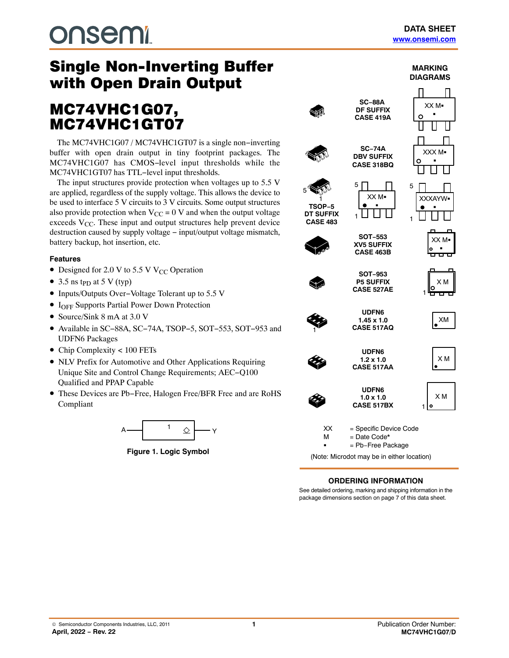**MARKING**

# **DUSEMI**

# with Open Drain Output

# with Open Drain Output Drain Output Drain Output Drain Output Drain Output Drain Output Drain Output Drain Out<br>Drain Output Drain Output Drain Output Drain Output Drain Output Drain Output Drain Output Drain Output Drain MC74VHC1G07,<br>MC74VHC1GT07

The MC74VHC1G07 / MC74VHC1GT07 is a single non–inverting buffer with open drain output in tiny footprint packages. The MC74VHC1G07 has CMOS−level input thresholds while the MC74VHC1GT07 has TTL−level input thresholds.

The input structures provide protection when voltages up to 5.5 V are applied, regardless of the supply voltage. This allows the device to be used to interface 5 V circuits to 3 V circuits. Some output structures also provide protection when  $V_{CC} = 0$  V and when the output voltage exceeds  $V_{CC}$ . These input and output structures help prevent device destruction caused by supply voltage − input/output voltage mismatch, battery backup, hot insertion, etc.

#### **Features**

- Designed for 2.0 V to 5.5 V V<sub>CC</sub> Operation
- 3.5 ns t<sub>PD</sub> at 5 V (typ)
- Inputs/Outputs Over−Voltage Tolerant up to 5.5 V
- I<sub>OFF</sub> Supports Partial Power Down Protection
- Source/Sink 8 mA at 3.0 V
- Available in SC−88A, SC−74A, TSOP−5, SOT−553, SOT−953 and UDFN6 Packages
- Chip Complexity < 100 FETs
- NLV Prefix for Automotive and Other Applications Requiring Unique Site and Control Change Requirements; AEC−Q100 Qualified and PPAP Capable
- These Devices are Pb−Free, Halogen Free/BFR Free and are RoHS Compliant



**Figure 1. Logic Symbol**



#### **ORDERING INFORMATION**

See detailed ordering, marking and shipping information in the package dimensions section on page [7](#page-6-0) of this data sheet.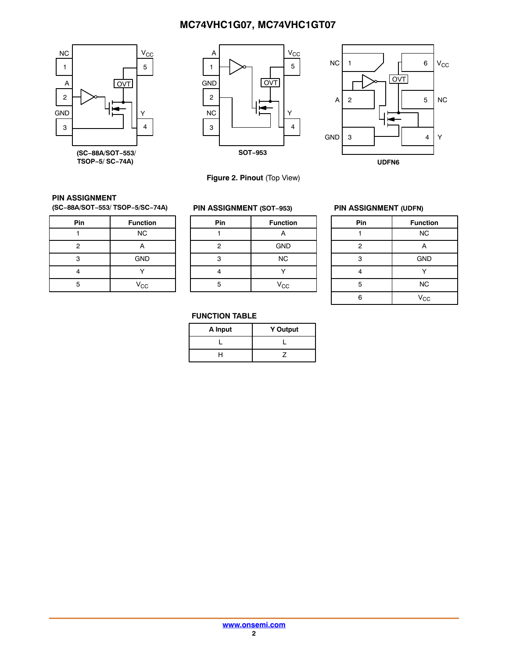





**Figure 2. Pinout** (Top View)

#### **PIN ASSIGNMENT**

**(SC−88A/SOT−553/ TSOP−5/SC−74A)**

| Pin            | <b>Function</b> |
|----------------|-----------------|
|                | <b>NC</b>       |
| $\overline{c}$ | А               |
| з              | <b>GND</b>      |
|                |                 |
| 5              | $V_{CC}$        |

#### **PIN ASSIGNMENT (SOT−953)**

| Pin | <b>Function</b> |
|-----|-----------------|
|     | А               |
| 2   | <b>GND</b>      |
| 3   | <b>NC</b>       |
|     |                 |
| 5   | V <sub>CC</sub> |
|     |                 |

#### **PIN ASSIGNMENT (UDFN)**

| Pin            | <b>Function</b> |
|----------------|-----------------|
|                | <b>NC</b>       |
| $\overline{2}$ | А               |
| 3              | <b>GND</b>      |
|                |                 |
| 5              | <b>NC</b>       |
| 6              | $V_{\rm CC}$    |

#### **FUNCTION TABLE**

| A Input | <b>Y</b> Output |
|---------|-----------------|
|         |                 |
|         |                 |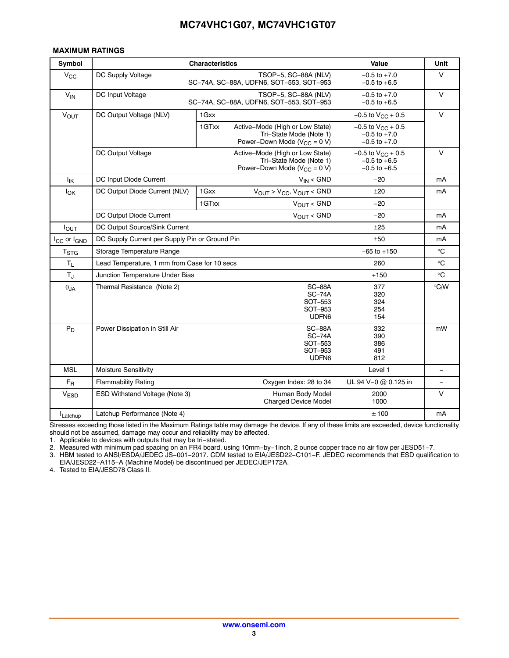#### <span id="page-2-0"></span>**MAXIMUM RATINGS**

| Symbol                              | <b>Characteristics</b>                         | <b>Value</b>                                                                                              | Unit                                                             |                         |  |  |
|-------------------------------------|------------------------------------------------|-----------------------------------------------------------------------------------------------------------|------------------------------------------------------------------|-------------------------|--|--|
| <b>V<sub>CC</sub></b>               | DC Supply Voltage                              | TSOP-5, SC-88A (NLV)<br>SC-74A, SC-88A, UDFN6, SOT-553, SOT-953                                           | $-0.5$ to $+7.0$<br>$-0.5$ to $+6.5$                             | V                       |  |  |
| $V_{IN}$                            | DC Input Voltage                               | TSOP-5, SC-88A (NLV)<br>SC-74A, SC-88A, UDFN6, SOT-553, SOT-953                                           | $-0.5$ to $+7.0$<br>$-0.5$ to $+6.5$                             | $\vee$                  |  |  |
| $V_{OUT}$                           | DC Output Voltage (NLV)                        | $-0.5$ to $V_{CC}$ + 0.5                                                                                  | $\vee$                                                           |                         |  |  |
|                                     |                                                | 1GTxx<br>Active-Mode (High or Low State)<br>Tri-State Mode (Note 1)<br>Power-Down Mode ( $V_{CC} = 0 V$ ) | $-0.5$ to $V_{CC}$ + 0.5<br>$-0.5$ to $+7.0$<br>$-0.5$ to $+7.0$ |                         |  |  |
|                                     | DC Output Voltage                              | Active-Mode (High or Low State)<br>Tri-State Mode (Note 1)<br>Power-Down Mode ( $V_{CC}$ = 0 V)           | $-0.5$ to $V_{CC}$ + 0.5<br>$-0.5$ to $+6.5$<br>$-0.5$ to $+6.5$ | $\vee$                  |  |  |
| lικ                                 | DC Input Diode Current                         | $V_{IN}$ < GND                                                                                            | $-20$                                                            | mA                      |  |  |
| lok                                 | DC Output Diode Current (NLV)                  | $V_{OUT}$ > $V_{CC}$ , $V_{OUT}$ < GND<br>1 Gxx                                                           | ±20                                                              | mA                      |  |  |
|                                     |                                                | $V_{OUT} < GND$<br>1GTxx                                                                                  | $-20$                                                            |                         |  |  |
|                                     | DC Output Diode Current                        | $V_{\text{OUT}} <$ GND                                                                                    | $-20$                                                            | mA                      |  |  |
| $I_{\text{OUT}}$                    | DC Output Source/Sink Current                  | ±25                                                                                                       | mA                                                               |                         |  |  |
| I <sub>CC</sub> or I <sub>GND</sub> | DC Supply Current per Supply Pin or Ground Pin | $+50$                                                                                                     | mA                                                               |                         |  |  |
| $\mathsf{T}_{\text{STG}}$           | Storage Temperature Range                      |                                                                                                           | $-65$ to $+150$                                                  | $\rm ^{\circ}C$         |  |  |
| $T_L$                               | Lead Temperature, 1 mm from Case for 10 secs   |                                                                                                           | 260                                                              | $^{\circ}C$             |  |  |
| $T_{\text{J}}$                      | Junction Temperature Under Bias                |                                                                                                           | $+150$                                                           | $\rm ^{\circ}C$         |  |  |
| $\theta_{JA}$                       | Thermal Resistance (Note 2)                    | <b>SC-88A</b><br>$SC-74A$<br>SOT-553<br>SOT-953<br>UDFN <sub>6</sub>                                      | 377<br>320<br>324<br>254<br>154                                  | $\mathrm{C}/\mathrm{C}$ |  |  |
| $P_D$                               | Power Dissipation in Still Air                 | <b>SC-88A</b><br>$SC-74A$<br>SOT-553<br>SOT-953<br>UDFN <sub>6</sub>                                      | 332<br>390<br>386<br>491<br>812                                  | mW                      |  |  |
| <b>MSL</b>                          | Moisture Sensitivity                           |                                                                                                           | Level 1                                                          | $\qquad \qquad -$       |  |  |
| $F_{R}$                             | <b>Flammability Rating</b>                     | Oxygen Index: 28 to 34                                                                                    |                                                                  |                         |  |  |
| <b>VESD</b>                         | ESD Withstand Voltage (Note 3)                 | Human Body Model<br><b>Charged Device Model</b>                                                           | 2000<br>1000                                                     | V                       |  |  |
| Latchup                             | Latchup Performance (Note 4)                   |                                                                                                           | ±100                                                             | mA                      |  |  |

Stresses exceeding those listed in the Maximum Ratings table may damage the device. If any of these limits are exceeded, device functionality should not be assumed, damage may occur and reliability may be affected.

1. Applicable to devices with outputs that may be tri−stated.

2. Measured with minimum pad spacing on an FR4 board, using 10mm−by−1inch, 2 ounce copper trace no air flow per JESD51−7.

3. HBM tested to ANSI/ESDA/JEDEC JS−001−2017. CDM tested to EIA/JESD22−C101−F. JEDEC recommends that ESD qualification to EIA/JESD22−A115−A (Machine Model) be discontinued per JEDEC/JEP172A.

4. Tested to EIA/JESD78 Class II.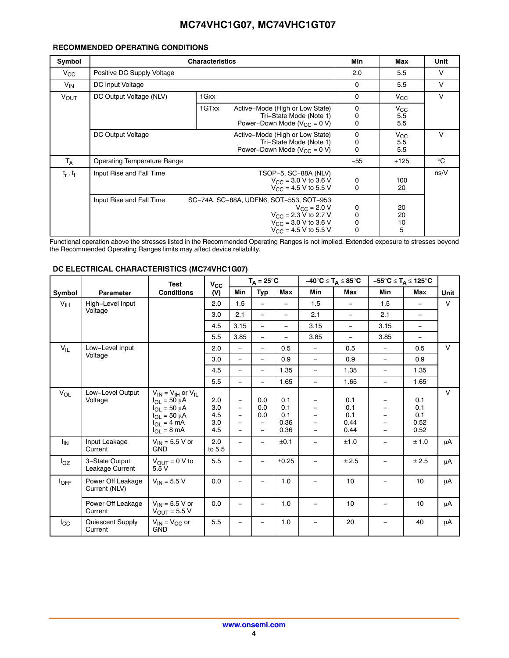#### **RECOMMENDED OPERATING CONDITIONS**

| Symbol                 |                                    | <b>Characteristics</b>                                                                                                                                                  | Min                        | Max                        | Unit   |  |  |  |
|------------------------|------------------------------------|-------------------------------------------------------------------------------------------------------------------------------------------------------------------------|----------------------------|----------------------------|--------|--|--|--|
| $V_{\rm CC}$           | Positive DC Supply Voltage         |                                                                                                                                                                         |                            |                            |        |  |  |  |
| $V_{IN}$               | DC Input Voltage                   |                                                                                                                                                                         | $\mathbf 0$                | 5.5                        | $\vee$ |  |  |  |
| <b>V<sub>OUT</sub></b> | DC Output Voltage (NLV)            | 1 Gxx                                                                                                                                                                   | $\mathbf 0$                | $V_{\rm CC}$               | $\vee$ |  |  |  |
|                        |                                    | 1GTxx<br>Active-Mode (High or Low State)<br>Tri-State Mode (Note 1)<br>Power-Down Mode ( $V_{CC} = 0 V$ )                                                               | 0<br>0<br>0                | $V_{\rm CC}$<br>5.5<br>5.5 |        |  |  |  |
|                        | DC Output Voltage                  | Active-Mode (High or Low State)<br>Tri-State Mode (Note 1)<br>Power–Down Mode ( $V_{CC}$ = 0 V)                                                                         | 0<br>0<br>0                | $V_{\rm CC}$<br>5.5<br>5.5 | v      |  |  |  |
| $T_A$                  | <b>Operating Temperature Range</b> |                                                                                                                                                                         | $-55$                      | $+125$                     | °C     |  |  |  |
| $t_r$ , $t_f$          | Input Rise and Fall Time           | TSOP-5, SC-88A (NLV)<br>$V_{\text{CC}} = 3.0 \text{ V}$ to 3.6 V<br>$V_{\text{CC}} = 4.5 \text{ V}$ to 5.5 V                                                            | 0<br>$\mathbf 0$           | 100<br>20                  | ns/V   |  |  |  |
|                        | Input Rise and Fall Time           | SC-74A, SC-88A, UDFN6, SOT-553, SOT-953<br>$V_{\text{CC}} = 2.0 V$<br>$V_{\text{CC}}$ = 2.3 V to 2.7 V<br>$V_{\text{CC}}$ = 3.0 V to 3.6 V<br>$V_{CC}$ = 4.5 V to 5.5 V | 0<br>0<br>0<br>$\mathbf 0$ | 20<br>20<br>10<br>5        |        |  |  |  |

Functional operation above the stresses listed in the Recommended Operating Ranges is not implied. Extended exposure to stresses beyond the Recommended Operating Ranges limits may affect device reliability.

| DC ELECTRICAL CHARACTERISTICS (MC74VHC1G07) |  |
|---------------------------------------------|--|
|                                             |  |

|                  |                                    | <b>Test</b>                                                                                                                                                   | $V_{CC}$                        |                                                                                                                                   | $T_A = 25^{\circ}C$                                                       |                                   | $-40^{\circ}C \leq T_A \leq 85^{\circ}C$                                         |                                   |                                                                                    | –55°C ≤ T <sub>A</sub> ≤ 125°C    |             |
|------------------|------------------------------------|---------------------------------------------------------------------------------------------------------------------------------------------------------------|---------------------------------|-----------------------------------------------------------------------------------------------------------------------------------|---------------------------------------------------------------------------|-----------------------------------|----------------------------------------------------------------------------------|-----------------------------------|------------------------------------------------------------------------------------|-----------------------------------|-------------|
| Symbol           | <b>Parameter</b>                   | <b>Conditions</b>                                                                                                                                             | (V)                             | Min                                                                                                                               | <b>Typ</b>                                                                | Max                               | <b>Min</b>                                                                       | Max                               | <b>Min</b>                                                                         | Max                               | <b>Unit</b> |
| $V_{\text{IH}}$  | High-Level Input                   |                                                                                                                                                               | 2.0                             | 1.5                                                                                                                               | $\equiv$                                                                  | $\equiv$                          | 1.5                                                                              | $\overline{\phantom{a}}$          | 1.5                                                                                | $-$                               | $\vee$      |
|                  | Voltage                            |                                                                                                                                                               | 3.0                             | 2.1                                                                                                                               | $\equiv$                                                                  | $\equiv$                          | 2.1                                                                              | $\overline{\phantom{0}}$          | 2.1                                                                                | $\overline{\phantom{a}}$          |             |
|                  |                                    |                                                                                                                                                               | 4.5                             | 3.15                                                                                                                              | ÷.                                                                        | $\equiv$                          | 3.15                                                                             | $\equiv$                          | 3.15                                                                               | $\equiv$                          |             |
|                  |                                    |                                                                                                                                                               | 5.5                             | 3.85                                                                                                                              | $\equiv$                                                                  | $\equiv$                          | 3.85                                                                             | ÷.                                | 3.85                                                                               | $\qquad \qquad -$                 |             |
| $V_{IL}$         | Low-Level Input                    |                                                                                                                                                               | 2.0                             | $\overline{\phantom{m}}$                                                                                                          | $\overline{\phantom{0}}$                                                  | 0.5                               | $\overline{\phantom{m}}$                                                         | 0.5                               | $\equiv$                                                                           | 0.5                               | $\vee$      |
|                  | Voltage                            |                                                                                                                                                               | 3.0                             | $\equiv$                                                                                                                          | $\equiv$                                                                  | 0.9                               | $\equiv$                                                                         | 0.9                               | $\equiv$                                                                           | 0.9                               |             |
|                  |                                    |                                                                                                                                                               | 4.5                             | $\equiv$                                                                                                                          | $\equiv$                                                                  | 1.35                              | $\equiv$                                                                         | 1.35                              | $\equiv$                                                                           | 1.35                              |             |
|                  |                                    |                                                                                                                                                               | 5.5                             | $\overline{\phantom{0}}$                                                                                                          | $\equiv$                                                                  | 1.65                              | $\equiv$                                                                         | 1.65                              | $\equiv$                                                                           | 1.65                              |             |
| $V_{OL}$         | Low-Level Output<br>Voltage        | $V_{IN}$ = $V_{IH}$ or $V_{II}$<br>$I_{OI}$ = 50 µA<br>$I_{\Omega I} = 50 \mu A$<br>$I_{OL}$ = 50 $\mu$ A<br>$I_{\Omega I}$ = 4 mA<br>$I_{OL} = 8 \text{ mA}$ | 2.0<br>3.0<br>4.5<br>3.0<br>4.5 | $\overline{\phantom{m}}$<br>$\overline{\phantom{m}}$<br>$\qquad \qquad -$<br>$\overline{\phantom{0}}$<br>$\overline{\phantom{0}}$ | 0.0<br>0.0<br>0.0<br>$\overline{\phantom{0}}$<br>$\overline{\phantom{0}}$ | 0.1<br>0.1<br>0.1<br>0.36<br>0.36 | $\overline{\phantom{0}}$<br>$\overline{\phantom{0}}$<br>$\overline{\phantom{m}}$ | 0.1<br>0.1<br>0.1<br>0.44<br>0.44 | $\qquad \qquad \blacksquare$<br>$\equiv$<br>$\qquad \qquad -$<br>$\qquad \qquad -$ | 0.1<br>0.1<br>0.1<br>0.52<br>0.52 | $\vee$      |
| <sup>I</sup> IN  | Input Leakage<br>Current           | $V_{IN}$ = 5.5 V or<br><b>GND</b>                                                                                                                             | 2.0<br>to 5.5                   |                                                                                                                                   |                                                                           | ±0.1                              | $\equiv$                                                                         | ±1.0                              |                                                                                    | ± 1.0                             | μA          |
| $I_{OZ}$         | 3-State Output<br>Leakage Current  | $V_{OUT} = 0 V to$<br>5.5V                                                                                                                                    | 5.5                             |                                                                                                                                   | $\overline{\phantom{0}}$                                                  | $\pm 0.25$                        | $\qquad \qquad =$                                                                | ±2.5                              | $\qquad \qquad -$                                                                  | ± 2.5                             | μA          |
| $I_{\text{OFF}}$ | Power Off Leakage<br>Current (NLV) | $V_{IN}$ = 5.5 V                                                                                                                                              | 0.0                             |                                                                                                                                   |                                                                           | 1.0                               |                                                                                  | 10                                |                                                                                    | 10                                | μA          |
|                  | Power Off Leakage<br>Current       | $V_{IN}$ = 5.5 V or<br>$V_{OUT}$ = 5.5 V                                                                                                                      | 0.0                             |                                                                                                                                   |                                                                           | 1.0                               | $\qquad \qquad -$                                                                | 10                                | -                                                                                  | 10                                | μA          |
| $_{\rm lcc}$     | Quiescent Supply<br>Current        | $V_{IN}$ = $V_{CC}$ or<br><b>GND</b>                                                                                                                          | 5.5                             |                                                                                                                                   |                                                                           | 1.0                               | $\equiv$                                                                         | 20                                |                                                                                    | 40                                | μA          |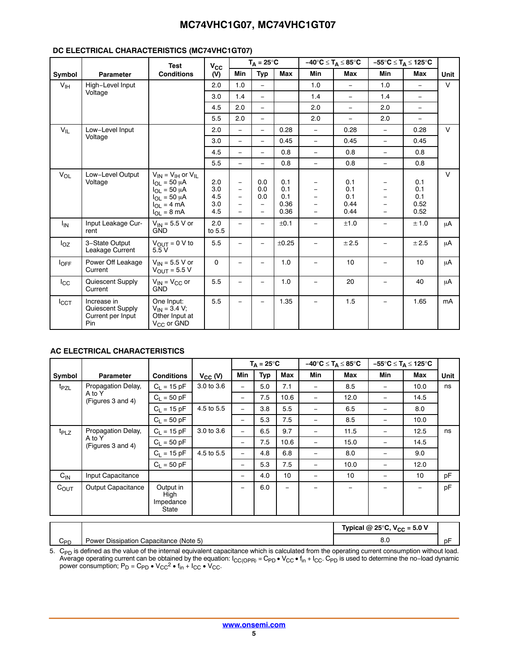#### **DC ELECTRICAL CHARACTERISTICS (MC74VHC1GT07)**

|                  |                                                             | <b>Test</b>                                                                                                                                    | $V_{\rm CC}$                    |                                                                                                              | $T_A = 25^{\circ}C$                                       |                                   | $-40^{\circ}C \leq T_A \leq 85^{\circ}C$ |                                   |                                                     | $-55^{\circ}C \leq T_A \leq 125^{\circ}C$ |             |
|------------------|-------------------------------------------------------------|------------------------------------------------------------------------------------------------------------------------------------------------|---------------------------------|--------------------------------------------------------------------------------------------------------------|-----------------------------------------------------------|-----------------------------------|------------------------------------------|-----------------------------------|-----------------------------------------------------|-------------------------------------------|-------------|
| Symbol           | <b>Parameter</b>                                            | <b>Conditions</b>                                                                                                                              | (V)                             | Min                                                                                                          | <b>Typ</b>                                                | Max                               | Min                                      | Max                               | Min                                                 | Max                                       | <b>Unit</b> |
| V <sub>IH</sub>  | High-Level Input                                            |                                                                                                                                                | 2.0                             | 1.0                                                                                                          | $\equiv$                                                  |                                   | 1.0                                      | $\equiv$                          | 1.0                                                 | $\equiv$                                  | $\vee$      |
|                  | Voltage                                                     |                                                                                                                                                | 3.0                             | 1.4                                                                                                          | $\equiv$                                                  |                                   | 1.4                                      | $\equiv$                          | 1.4                                                 | $\overline{\phantom{a}}$                  |             |
|                  |                                                             |                                                                                                                                                | 4.5                             | 2.0                                                                                                          | $\equiv$                                                  |                                   | 2.0                                      | $\equiv$                          | 2.0                                                 | $\overline{\phantom{a}}$                  |             |
|                  |                                                             |                                                                                                                                                | 5.5                             | 2.0                                                                                                          | $\equiv$                                                  |                                   | 2.0                                      | $\equiv$                          | 2.0                                                 | $\overline{\phantom{0}}$                  |             |
| $V_{IL}$         | Low-Level Input                                             |                                                                                                                                                | 2.0                             | $\equiv$                                                                                                     | $\equiv$                                                  | 0.28                              | $\equiv$                                 | 0.28                              | $\equiv$                                            | 0.28                                      | $\vee$      |
|                  | Voltage                                                     |                                                                                                                                                | 3.0                             | $\equiv$                                                                                                     | $\equiv$                                                  | 0.45                              | $\equiv$                                 | 0.45                              | $\equiv$                                            | 0.45                                      |             |
|                  |                                                             |                                                                                                                                                | 4.5                             | $\overline{\phantom{a}}$                                                                                     | $\equiv$                                                  | 0.8                               | $\equiv$                                 | 0.8                               | $\equiv$                                            | 0.8                                       |             |
|                  |                                                             |                                                                                                                                                | 5.5                             | $\overline{\phantom{0}}$                                                                                     | $\equiv$                                                  | 0.8                               | $\equiv$                                 | 0.8                               | $\equiv$                                            | 0.8                                       |             |
| $V_{OL}$         | Low-Level Output<br>Voltage                                 | $V_{IN}$ = $V_{IH}$ or $V_{II}$<br>$I_{OL}$ = 50 µA<br>$I_{OI}$ = 50 $\mu$ A<br>$I_{OL}$ = 50 µA<br>$I_{OL} = 4 \text{ mA}$<br>$I_{OL}$ = 8 mA | 2.0<br>3.0<br>4.5<br>3.0<br>4.5 | $\overline{\phantom{a}}$<br>$\overline{\phantom{a}}$<br>$\overline{\phantom{m}}$<br>$\qquad \qquad -$<br>$-$ | 0.0<br>0.0<br>0.0<br>$\overline{\phantom{0}}$<br>$\equiv$ | 0.1<br>0.1<br>0.1<br>0.36<br>0.36 | -<br>-<br>$\overline{\phantom{m}}$       | 0.1<br>0.1<br>0.1<br>0.44<br>0.44 | $\qquad \qquad -$<br>$\overline{\phantom{0}}$<br>L. | 0.1<br>0.1<br>0.1<br>0.52<br>0.52         | $\vee$      |
| <sup>I</sup> IN  | Input Leakage Cur-<br>rent                                  | $V_{IN}$ = 5.5 V or<br><b>GND</b>                                                                                                              | 2.0<br>to 5.5                   |                                                                                                              |                                                           | ±0.1                              |                                          | ±1.0                              |                                                     | ± 1.0                                     | μA          |
| $I_{OZ}$         | 3-State Output<br>Leakage Current                           | $V_{OUT} = 0 V to$<br>5.5V                                                                                                                     | 5.5                             |                                                                                                              | $\overline{\phantom{0}}$                                  | ±0.25                             |                                          | ± 2.5                             |                                                     | ± 2.5                                     | μA          |
| $I_{\text{OFF}}$ | Power Off Leakage<br>Current                                | $V_{IN}$ = 5.5 V or<br>$V_{OUT}$ = 5.5 V                                                                                                       | $\mathbf 0$                     | $\overline{\phantom{a}}$                                                                                     |                                                           | 1.0                               | $\overline{\phantom{a}}$                 | 10                                | $\overline{\phantom{m}}$                            | 10                                        | μA          |
| $_{\rm lcc}$     | Quiescent Supply<br>Current                                 | $V_{IN} = V_{CC}$ or<br><b>GND</b>                                                                                                             | 5.5                             |                                                                                                              | $\equiv$                                                  | 1.0                               | $\overline{\phantom{0}}$                 | 20                                | $\equiv$                                            | 40                                        | μA          |
| I <sub>CCT</sub> | Increase in<br>Quiescent Supply<br>Current per Input<br>Pin | One Input:<br>$V_{IN} = 3.4 V;$<br>Other Input at<br>$V_{CC}$ or GND                                                                           | 5.5                             |                                                                                                              |                                                           | 1.35                              | $\equiv$                                 | 1.5                               |                                                     | 1.65                                      | mA          |

#### **AC ELECTRICAL CHARACTERISTICS**

|                  |                                  |                                         |              |                          | $T_A = 25^{\circ}C$ |      | $-40^{\circ}C \leq T_A \leq 85^{\circ}C$ |      |            | $-55^{\circ}C \leq T_A \leq 125^{\circ}C$ |      |
|------------------|----------------------------------|-----------------------------------------|--------------|--------------------------|---------------------|------|------------------------------------------|------|------------|-------------------------------------------|------|
| Symbol           | <b>Parameter</b>                 | <b>Conditions</b>                       | $V_{CC}$ (V) | <b>Min</b>               | Typ                 | Max  | Min                                      | Max  | <b>Min</b> | Max                                       | Unit |
| t <sub>PZL</sub> | Propagation Delay,               | $C_1 = 15 pF$                           | 3.0 to 3.6   |                          | 5.0                 | 7.1  |                                          | 8.5  |            | 10.0                                      | ns   |
|                  | A to Y<br>(Figures 3 and 4)      | $C_1 = 50 pF$                           |              |                          | 7.5                 | 10.6 |                                          | 12.0 |            | 14.5                                      |      |
|                  |                                  | $C_1 = 15 pF$                           | 4.5 to 5.5   | $\overline{\phantom{m}}$ | 3.8                 | 5.5  | $\overline{\phantom{0}}$                 | 6.5  |            | 8.0                                       |      |
|                  |                                  | $C_1 = 50 pF$                           |              |                          | 5.3                 | 7.5  |                                          | 8.5  |            | 10.0                                      |      |
| $t_{PLZ}$        | Propagation Delay,               | $C_1 = 15 pF$                           | 3.0 to 3.6   | $\qquad \qquad -$        | 6.5                 | 9.7  |                                          | 11.5 |            | 12.5                                      | ns   |
|                  | A to Y<br>(Figures 3 and 4)      | $C_1 = 50 pF$                           |              |                          | 7.5                 | 10.6 | $\overline{\phantom{m}}$                 | 15.0 |            | 14.5                                      |      |
|                  |                                  | $C_1 = 15 pF$                           | 4.5 to 5.5   | $\qquad \qquad -$        | 4.8                 | 6.8  |                                          | 8.0  |            | 9.0                                       |      |
|                  |                                  | $C_L = 50$ pF                           |              |                          | 5.3                 | 7.5  | $\overline{\phantom{m}}$                 | 10.0 |            | 12.0                                      |      |
| $C_{IN}$         | Input Capacitance                |                                         |              | $\qquad \qquad$          | 4.0                 | 10   |                                          | 10   |            | 10                                        | pF   |
| $C_{OUT}$        | Output Capacitance               | Output in<br>High<br>Impedance<br>State |              | $\qquad \qquad =$        | 6.0                 | $=$  |                                          |      |            | $\overline{\phantom{m}}$                  | pF   |
|                  | $T = 100$ and $T = 100$<br>$  -$ |                                         |              |                          |                     |      |                                          |      |            |                                           |      |

|                 |                                                   | Typical @ 25°C, $V_{CC}$ = 5.0 V |    |
|-----------------|---------------------------------------------------|----------------------------------|----|
| C <sub>PD</sub> | Dissipation<br>(Note 5)<br>Capacitance /<br>Power | ο.ι                              | pF |

5. C<sub>PD</sub> is defined as the value of the internal equivalent capacitance which is calculated from the operating current consumption without load.<br>Average operating current can be obtained by the equation:  $I_{CC(OPR)} = C_{PD} \cdot V_{CC$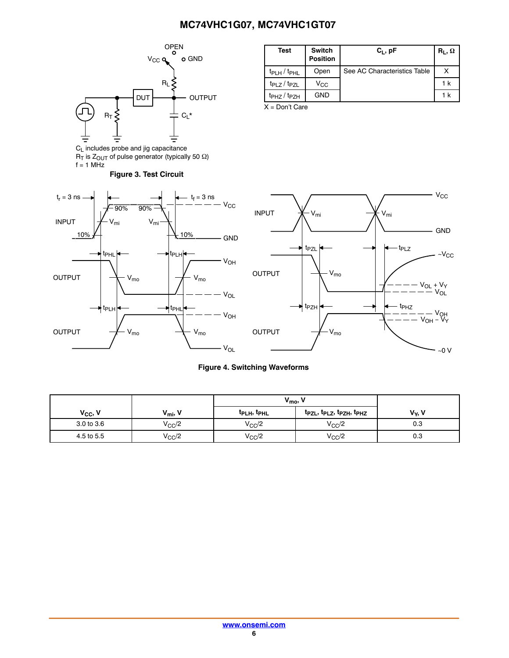<span id="page-5-0"></span>

 $R_{\text{I}}$  is  $Z_{\text{OUT}}$  of pulse generator (typically 50  $\Omega$ )

 $f = 1$  MHz

| Test                          | <b>Switch</b><br><b>Position</b> | $C_L$ , pF                   | $R_1, \Omega$ |
|-------------------------------|----------------------------------|------------------------------|---------------|
| $t_{\rm PLH}$ / $t_{\rm PHL}$ | Open                             | See AC Characteristics Table |               |
| $tp_{LZ}/tp_{ZL}$             | $V_{\rm CC}$                     |                              | 1 k           |
| $t_{PHZ}/t_{PZH}$             | <b>GND</b>                       |                              | 1 k           |
| $\mathbf{v}$ $\mathbf{v}$     |                                  |                              |               |

X = Don't Care





#### **Figure 4. Switching Waveforms**

|              |                 | $V_{\text{mo}}$                     |                                                                           |                 |
|--------------|-----------------|-------------------------------------|---------------------------------------------------------------------------|-----------------|
| $V_{CC}$ , V | $V_{\text{mi}}$ | <sup>T</sup> PLH <sup>, T</sup> PHL | t <sub>PZL</sub> , t <sub>PLZ</sub> , t <sub>PZH</sub> , t <sub>PHZ</sub> | $V_{\rm v}$ , V |
| 3.0 to 3.6   | $V_{\rm CC}$ /2 | $V_{CC}/2$                          | $V_{CC}/2$                                                                | 0.3             |
| 4.5 to 5.5   | $V_{\rm CC}/2$  | $V_{\rm CC}/2$                      | $V_{\rm CC}/2$                                                            | 0.3             |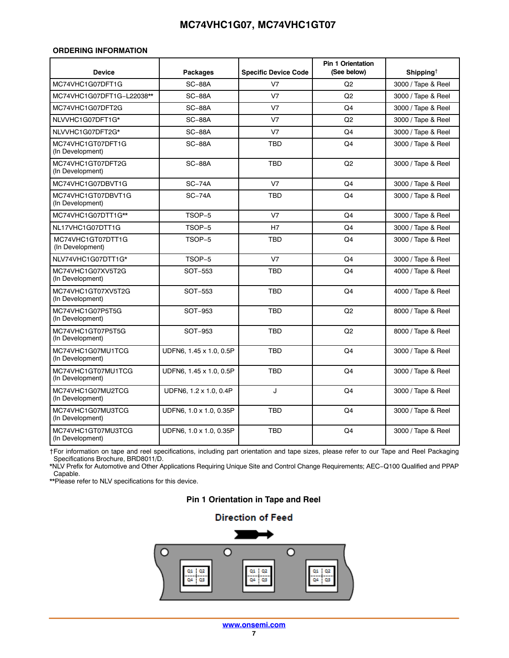#### <span id="page-6-0"></span>**ORDERING INFORMATION**

| <b>Device</b>                          | <b>Packages</b>         | <b>Specific Device Code</b> | <b>Pin 1 Orientation</b><br>(See below) | Shipping <sup><math>\dagger</math></sup> |
|----------------------------------------|-------------------------|-----------------------------|-----------------------------------------|------------------------------------------|
| MC74VHC1G07DFT1G                       | <b>SC-88A</b>           | V <sub>7</sub>              | Q <sub>2</sub>                          | 3000 / Tape & Reel                       |
| MC74VHC1G07DFT1G-L22038**              | <b>SC-88A</b>           | V <sub>7</sub>              | Q <sub>2</sub>                          | 3000 / Tape & Reel                       |
| MC74VHC1G07DFT2G                       | <b>SC-88A</b>           | V <sub>7</sub>              | Q4                                      | 3000 / Tape & Reel                       |
| NLVVHC1G07DFT1G*                       | <b>SC-88A</b>           | V <sub>7</sub>              | Q2                                      | 3000 / Tape & Reel                       |
| NLVVHC1G07DFT2G*                       | <b>SC-88A</b>           | V <sub>7</sub>              | Q4                                      | 3000 / Tape & Reel                       |
| MC74VHC1GT07DFT1G<br>(In Development)  | <b>SC-88A</b>           | <b>TBD</b>                  | Q4                                      | 3000 / Tape & Reel                       |
| MC74VHC1GT07DFT2G<br>(In Development)  | <b>SC-88A</b>           | <b>TBD</b>                  | Q <sub>2</sub>                          | 3000 / Tape & Reel                       |
| MC74VHC1G07DBVT1G                      | $SC-74A$                | V <sub>7</sub>              | Q4                                      | 3000 / Tape & Reel                       |
| MC74VHC1GT07DBVT1G<br>(In Development) | $SC-74A$                | <b>TBD</b>                  | Q4                                      | 3000 / Tape & Reel                       |
| MC74VHC1G07DTT1G**                     | TSOP-5                  | V <sub>7</sub>              | Q4                                      | 3000 / Tape & Reel                       |
| NL17VHC1G07DTT1G                       | TSOP-5                  | H7                          | Q4                                      | 3000 / Tape & Reel                       |
| MC74VHC1GT07DTT1G<br>(In Development)  | TSOP-5                  | <b>TBD</b>                  | Q4                                      | 3000 / Tape & Reel                       |
| NLV74VHC1G07DTT1G*                     | TSOP-5                  | V <sub>7</sub>              | Q4                                      | 3000 / Tape & Reel                       |
| MC74VHC1G07XV5T2G<br>(In Development)  | SOT-553                 | <b>TBD</b>                  | Q4                                      | 4000 / Tape & Reel                       |
| MC74VHC1GT07XV5T2G<br>(In Development) | SOT-553                 | <b>TBD</b>                  | Q <sub>4</sub>                          | 4000 / Tape & Reel                       |
| MC74VHC1G07P5T5G<br>(In Development)   | SOT-953                 | <b>TBD</b>                  | Q2                                      | 8000 / Tape & Reel                       |
| MC74VHC1GT07P5T5G<br>(In Development)  | SOT-953                 | <b>TBD</b>                  | Q2                                      | 8000 / Tape & Reel                       |
| MC74VHC1G07MU1TCG<br>(In Development)  | UDFN6, 1.45 x 1.0, 0.5P | <b>TBD</b>                  | Q4                                      | 3000 / Tape & Reel                       |
| MC74VHC1GT07MU1TCG<br>(In Development) | UDFN6, 1.45 x 1.0, 0.5P | <b>TBD</b>                  | Q4                                      | 3000 / Tape & Reel                       |
| MC74VHC1G07MU2TCG<br>(In Development)  | UDFN6, 1.2 x 1.0, 0.4P  | J                           | Q4                                      | 3000 / Tape & Reel                       |
| MC74VHC1G07MU3TCG<br>(In Development)  | UDFN6, 1.0 x 1.0, 0.35P | <b>TBD</b>                  | Q4                                      | 3000 / Tape & Reel                       |
| MC74VHC1GT07MU3TCG<br>(In Development) | UDFN6, 1.0 x 1.0, 0.35P | <b>TBD</b>                  | Q4                                      | 3000 / Tape & Reel                       |

†For information on tape and reel specifications, including part orientation and tape sizes, please refer to our Tape and Reel Packaging Specifications Brochure, BRD8011/D.

\*NLV Prefix for Automotive and Other Applications Requiring Unique Site and Control Change Requirements; AEC−Q100 Qualified and PPAP Capable.

\*\*Please refer to NLV specifications for this device.

#### **Pin 1 Orientation in Tape and Reel**

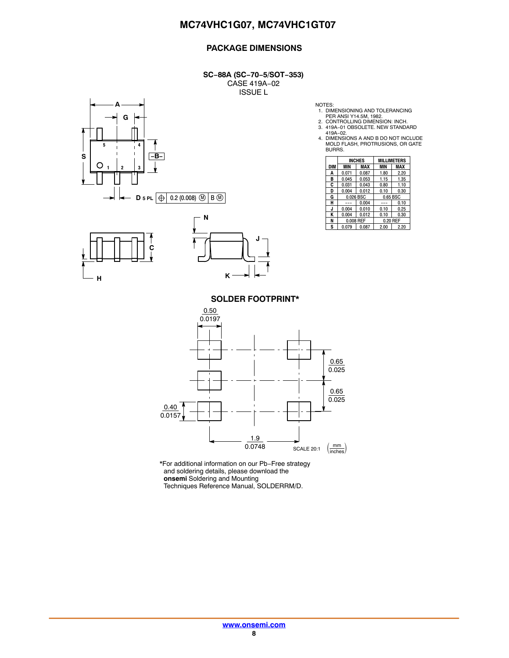#### **PACKAGE DIMENSIONS**

**SC−88A (SC−70−5/SOT−353)** CASE 419A−02 ISSUE L







NOTES: 1. DIMENSIONING AND TOLERANCING PER ANSI Y14.5M, 1982. 2. CONTROLLING DIMENSION: INCH.

3. 419A−01 OBSOLETE. NEW STANDARD

419A−02. 4. DIMENSIONS A AND B DO NOT INCLUDE MOLD FLASH, PROTRUSIONS, OR GATE BURRS.

|     | <b>INCHES</b> |       | <b>MILLIMETERS</b> |          |  |
|-----|---------------|-------|--------------------|----------|--|
| DIM | <b>MIN</b>    | MAX   | <b>MIN</b>         | MAX      |  |
| Α   | 0.071         | 0.087 | 1.80               | 2.20     |  |
| в   | 0.045         | 0.053 | 1.15               | 1.35     |  |
| C   | 0.031         | 0.043 | 0.80               | 1.10     |  |
| D   | 0.004         | 0.012 | 0.10               | 0.30     |  |
| G   | 0.026 BSC     |       |                    | 0.65 BSC |  |
| н   |               | 0.004 |                    | 0.10     |  |
| J   | 0.004         | 0.010 | 0.10               | 0.25     |  |
| ĸ   | 0.004         | 0.012 | 0.10               | 0.30     |  |
| N   | 0.008 REF     |       |                    | 0.20 REF |  |
| S   | 0.079         | 0.087 | 2.00               | 2.20     |  |

**SOLDER FOOTPRINT\***



\*For additional information on our Pb−Free strategy and soldering details, please download the **onsemi** Soldering and Mounting Techniques Reference Manual, SOLDERRM/D.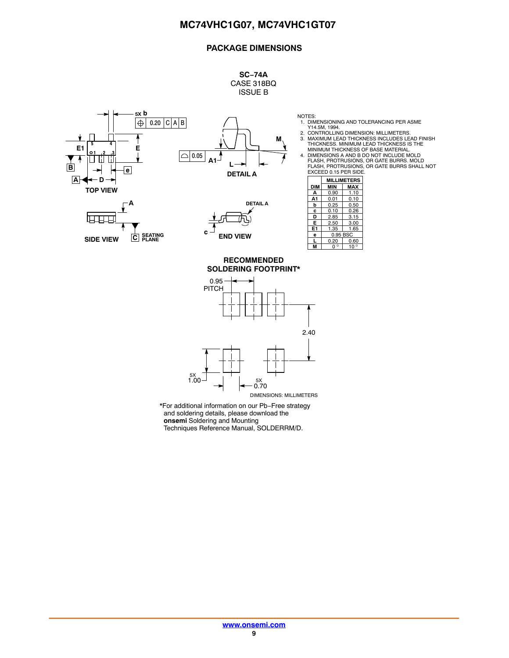#### **PACKAGE DIMENSIONS**

**SC−74A** CASE 318BQ ISSUE B

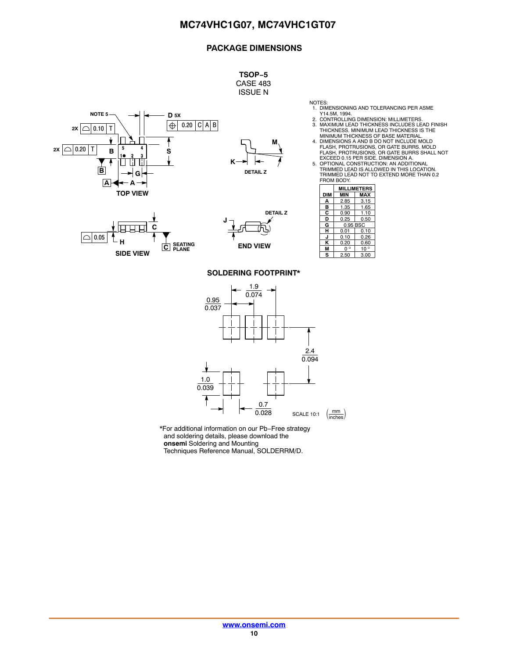#### **PACKAGE DIMENSIONS**

**TSOP−5** CASE 483 ISSUE N

**NOTE 5 D 5X** 0.20 <sup>C</sup> A B **2X** 0.10 <sup>T</sup>  $2x \cap 0.20$  T **B 5 4 S** <u>10 2 3</u>  $\mathsf{I}$ ΤìΙ Ti. **B G A A TOP VIEW**

![](_page_9_Figure_4.jpeg)

![](_page_9_Figure_6.jpeg)

![](_page_9_Figure_7.jpeg)

- NOTES: 1. DIMENSIONING AND TOLERANCING PER ASME Y14.5M, 1994. 2. CONTROLLING DIMENSION: MILLIMETERS.
- 
- 3. MAXIMUM LEAD THICKNESS INCLUDES LEAD FINISH THICKNESS. MINIMUM LEAD THICKNESS IS THE
- MINIMUM THICKNESS OF BASE MATERIAL.<br>4. DIMENSIONS A AND B DO NOT INCLUDE MOLD<br>FLASH, PROTRUSIONS, OR GATE BURRS. MOLD<br>FLASH, PROTRUSIONS, OR GATE BURRS SHALL NOT<br>EXCEED 0.15 PER SIDE. DIMENSION A.
- 5. OPTIONAL CONSTRUCTION: AN ADDITIONAL TRIMMED LEAD IS ALLOWED IN THIS LOCATION. TRIMMED LEAD NOT TO EXTEND MORE THAN 0.2 FROM BODY.

|     | <b>MILLIMETERS</b> |              |  |
|-----|--------------------|--------------|--|
| DIM | MIN                | MAX          |  |
| А   | 2.85               | 3.15         |  |
| в   | 1.35               | 1.65         |  |
| С   | 0.90               | 1.10         |  |
| D   | 0.25               | 0.50         |  |
| G   | 0.95 BSC           |              |  |
| н   | 0.01<br>0.10       |              |  |
|     | 0.10               | በ 26         |  |
| κ   | 0.20               | 0.60         |  |
| м   | n °                | $10^{\circ}$ |  |
| s   | 2.50               | 3.00         |  |

#### **SOLDERING FOOTPRINT\***

![](_page_9_Figure_16.jpeg)

\*For additional information on our Pb−Free strategy and soldering details, please download the **onsemi** Soldering and Mounting

Techniques Reference Manual, SOLDERRM/D.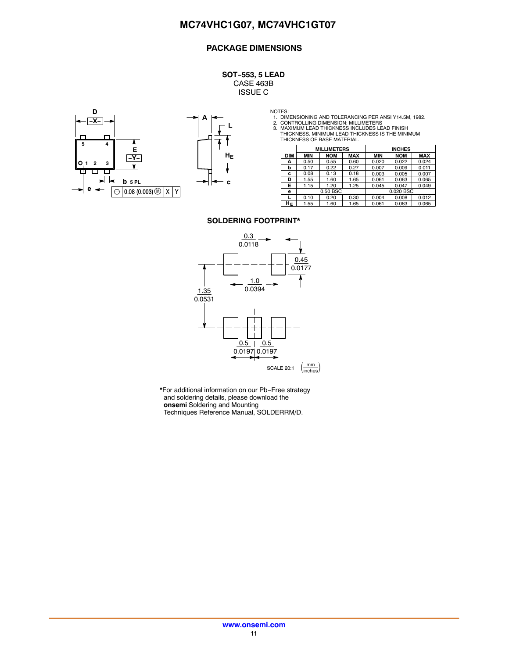#### **PACKAGE DIMENSIONS**

**SOT−553, 5 LEAD** CASE 463B ISSUE C

![](_page_10_Figure_3.jpeg)

![](_page_10_Figure_4.jpeg)

NOTES:<br>1. DIMENSIONING AND TOLERANCING PER ANSI Y14.5M, 1982.<br>2. CONTROLLING DIMENSION: MILLIMETERS<br>3. MAXIMUM LEAD THICKNESS INCLUDES LEAD FINISH<br>THICKNESS. MINIMUM LEAD THICKNESS IS THE MINIMUM<br>THICKNESS OF BASE MATERIAL

|            | <b>MILLIMETERS</b> |            |            | <b>INCHES</b> |            |            |
|------------|--------------------|------------|------------|---------------|------------|------------|
| <b>DIM</b> | MIN                | <b>NOM</b> | <b>MAX</b> | <b>MIN</b>    | <b>NOM</b> | <b>MAX</b> |
| А          | 0.50               | 0.55       | 0.60       | 0.020         | 0.022      | 0.024      |
| b          | 0.17               | 0.22       | 0.27       | 0.007         | 0.009      | 0.011      |
| c          | 0.08               | 0.13       | 0.18       | 0.003         | 0.005      | 0.007      |
| D          | 1.55               | 1.60       | 1.65       | 0.061         | 0.063      | 0.065      |
| Е          | 1.15               | 1.20       | 1.25       | 0.045         | 0.047      | 0.049      |
| е          |                    | 0.50 BSC   |            |               | 0.020 BSC  |            |
|            | 0.10               | 0.20       | 0.30       | 0.004         | 0.008      | 0.012      |
| HЕ         | 1.55               | 1.60       | 1.65       | 0.061         | 0.063      | 0.065      |

#### **SOLDERING FOOTPRINT\***

![](_page_10_Figure_11.jpeg)

\*For additional information on our Pb−Free strategy and soldering details, please download the **onsemi** Soldering and Mounting Techniques Reference Manual, SOLDERRM/D.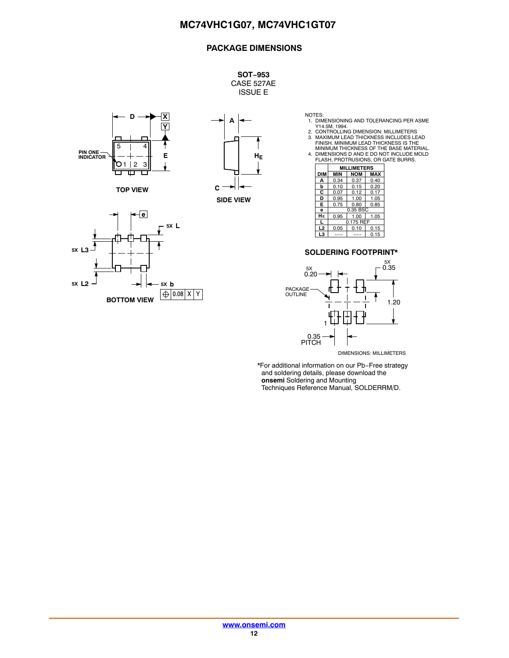#### **PACKAGE DIMENSIONS**

**SOT−953** CASE 527AE ISSUE E

![](_page_11_Figure_3.jpeg)

**TOP VIEW**

![](_page_11_Figure_5.jpeg)

![](_page_11_Figure_6.jpeg)

NOTES: 1. DIMENSIONING AND TOLERANCING PER ASME

Y14.5M, 1994.<br>2. CONTROLLING DIMENSION: MILLIMETERS<br>3. MAXIMUM LEAD THICKNESS INCLUDES LEAD<br>FINISH. MINIMUM LEAD THICKNESS IS THE<br>4. DIMENSIONS D AND E DO NOT INCLUDE MOLD<br>4. FLASH, PROTRUSIONS, OR GATE BURRS.

|                | <b>MILLIMETERS</b> |            |            |  |
|----------------|--------------------|------------|------------|--|
| <b>DIM</b>     | <b>MIN</b>         | <b>NOM</b> | <b>MAX</b> |  |
| A              | 0.34               | 0.37       | 0.40       |  |
| b              | 0.10               | 0.15       | 0.20       |  |
| C              | 0.07               | 0.12       | 0.17       |  |
| D              | 0.95               | 1.00       | 1.05       |  |
| E              | 0.75               | 0.80       | 0.85       |  |
| e              | 0.35 BSC           |            |            |  |
| HЕ             | 0.95               | 1.00       | 1.05       |  |
| L              | 0.175 REF          |            |            |  |
| L <sub>2</sub> | 0.05               | 0.10       | 0.15       |  |
| L3             |                    |            | 0.15       |  |

#### **SOLDERING FOOTPRINT\***

![](_page_11_Figure_12.jpeg)

\*For additional information on our Pb−Free strategy and soldering details, please download the **onsemi** Soldering and Mounting Techniques Reference Manual, SOLDERRM/D.

**[www.onsemi.com](http://www.onsemi.com/) 12**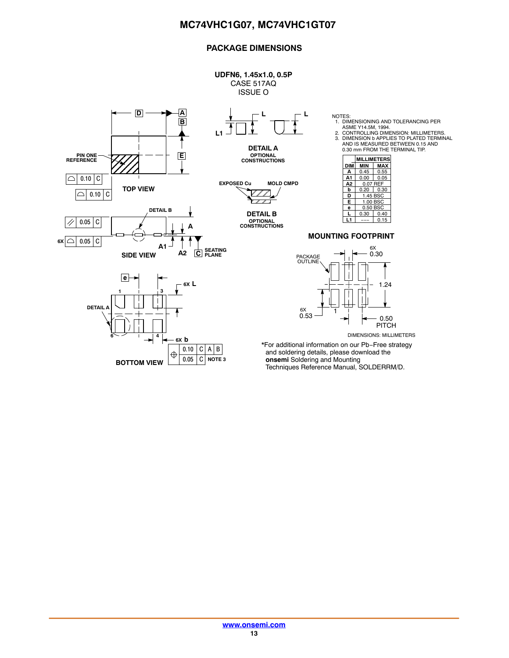#### **PACKAGE DIMENSIONS**

![](_page_12_Figure_2.jpeg)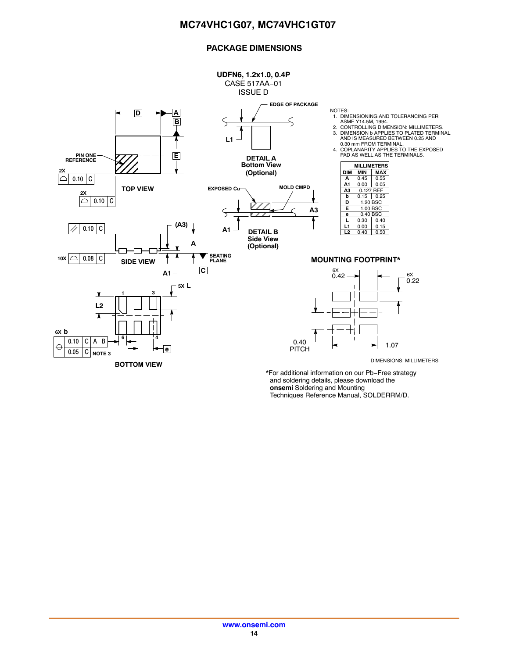#### **PACKAGE DIMENSIONS**

![](_page_13_Figure_2.jpeg)

\*For additional information on our Pb−Free strategy and soldering details, please download the **onsemi** Soldering and Mounting Techniques Reference Manual, SOLDERRM/D.